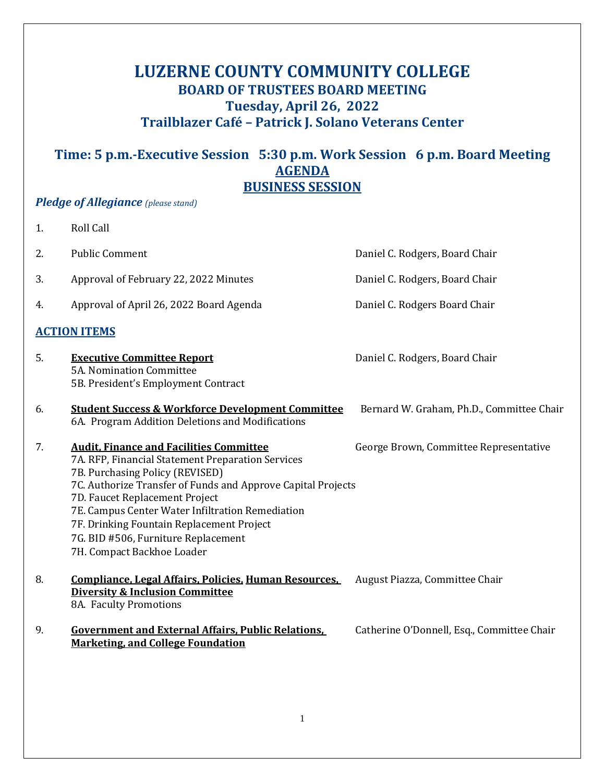# **LUZERNE COUNTY COMMUNITY COLLEGE BOARD OF TRUSTEES BOARD MEETING Tuesday, April 26, 2022 Trailblazer Café – Patrick J. Solano Veterans Center**

# **Time: 5 p.m.-Executive Session 5:30 p.m. Work Session 6 p.m. Board Meeting AGENDA BUSINESS SESSION**

## *Pledge of Allegiance (please stand)*

| 1.                  | <b>Roll Call</b>                                                                                                                                                                                                                                                                                                                                                                                               |                                            |  |
|---------------------|----------------------------------------------------------------------------------------------------------------------------------------------------------------------------------------------------------------------------------------------------------------------------------------------------------------------------------------------------------------------------------------------------------------|--------------------------------------------|--|
| 2.                  | <b>Public Comment</b>                                                                                                                                                                                                                                                                                                                                                                                          | Daniel C. Rodgers, Board Chair             |  |
| 3.                  | Approval of February 22, 2022 Minutes                                                                                                                                                                                                                                                                                                                                                                          | Daniel C. Rodgers, Board Chair             |  |
| 4.                  | Approval of April 26, 2022 Board Agenda                                                                                                                                                                                                                                                                                                                                                                        | Daniel C. Rodgers Board Chair              |  |
| <b>ACTION ITEMS</b> |                                                                                                                                                                                                                                                                                                                                                                                                                |                                            |  |
| 5.                  | <b>Executive Committee Report</b><br>5A. Nomination Committee<br>5B. President's Employment Contract                                                                                                                                                                                                                                                                                                           | Daniel C. Rodgers, Board Chair             |  |
| 6.                  | <b>Student Success &amp; Workforce Development Committee</b><br>6A. Program Addition Deletions and Modifications                                                                                                                                                                                                                                                                                               | Bernard W. Graham, Ph.D., Committee Chair  |  |
| 7.                  | <b>Audit, Finance and Facilities Committee</b><br>7A. RFP, Financial Statement Preparation Services<br>7B. Purchasing Policy (REVISED)<br>7C. Authorize Transfer of Funds and Approve Capital Projects<br>7D. Faucet Replacement Project<br>7E. Campus Center Water Infiltration Remediation<br>7F. Drinking Fountain Replacement Project<br>7G. BID #506, Furniture Replacement<br>7H. Compact Backhoe Loader | George Brown, Committee Representative     |  |
| 8.                  | Compliance, Legal Affairs, Policies, Human Resources,<br><b>Diversity &amp; Inclusion Committee</b><br>8A. Faculty Promotions                                                                                                                                                                                                                                                                                  | August Piazza, Committee Chair             |  |
| 9.                  | <b>Government and External Affairs, Public Relations,</b><br><b>Marketing, and College Foundation</b>                                                                                                                                                                                                                                                                                                          | Catherine O'Donnell, Esq., Committee Chair |  |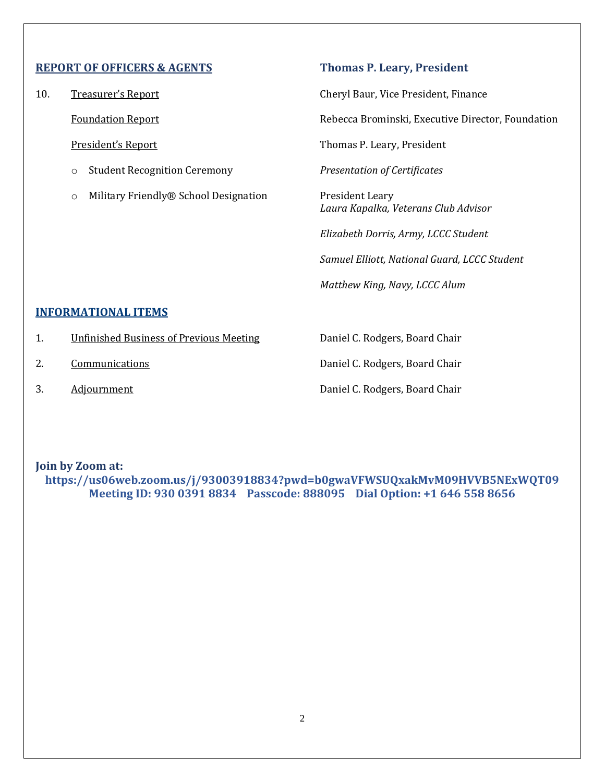## **REPORT OF OFFICERS & AGENTS Thomas P. Leary, President**

- o Student Recognition Ceremony *Presentation of Certificates*
- o Military Friendly® School Designation President Leary

10. Treasurer's Report Cheryl Baur, Vice President, Finance

Foundation Report **Report Report Rebecca Brominski**, Executive Director, Foundation

President's Report Thomas P. Leary, President

*Laura Kapalka, Veterans Club Advisor*

*Elizabeth Dorris, Army, LCCC Student Samuel Elliott, National Guard, LCCC Student Matthew King, Navy, LCCC Alum*

## **INFORMATIONAL ITEMS**

- 1. **Unfinished Business of Previous Meeting State C. Rodgers, Board Chair**
- 
- 

2. Communications Communications C. Rodgers, Board Chair 3. Adjournment Adjournment Adjournment C. Rodgers, Board Chair

**Join by Zoom at: https://us06web.zoom.us/j/93003918834?pwd=b0gwaVFWSUQxakMvM09HVVB5NExWQT09 Meeting ID: 930 0391 8834 Passcode: 888095 Dial Option: +1 646 558 8656**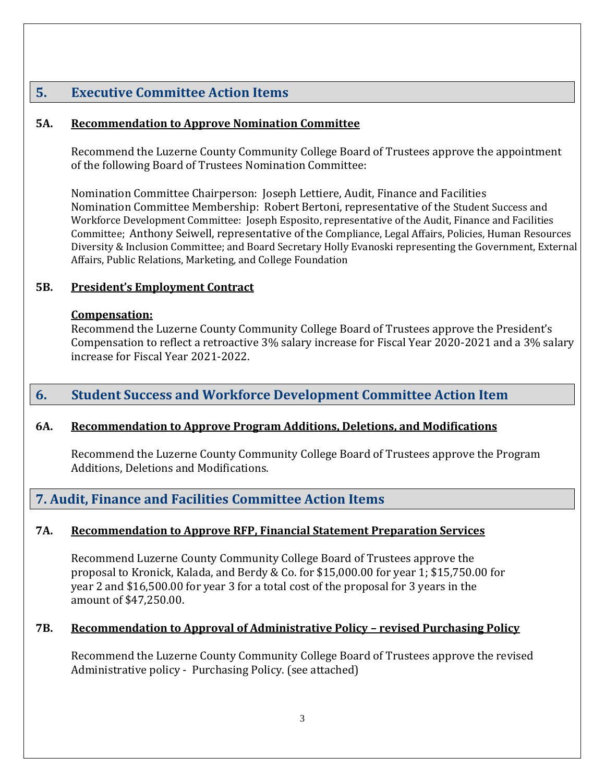## **5. Executive Committee Action Items**

## **5A. Recommendation to Approve Nomination Committee**

Recommend the Luzerne County Community College Board of Trustees approve the appointment of the following Board of Trustees Nomination Committee:

Nomination Committee Chairperson: Joseph Lettiere, Audit, Finance and Facilities Nomination Committee Membership: Robert Bertoni, representative of the Student Success and Workforce Development Committee: Joseph Esposito, representative of the Audit, Finance and Facilities Committee; Anthony Seiwell, representative of the Compliance, Legal Affairs, Policies, Human Resources Diversity & Inclusion Committee; and Board Secretary Holly Evanoski representing the Government, External Affairs, Public Relations, Marketing, and College Foundation

## **5B. President's Employment Contract**

## **Compensation:**

Recommend the Luzerne County Community College Board of Trustees approve the President's Compensation to reflect a retroactive 3% salary increase for Fiscal Year 2020-2021 and a 3% salary increase for Fiscal Year 2021-2022.

## **6. Student Success and Workforce Development Committee Action Item**

## **6A. Recommendation to Approve Program Additions, Deletions, and Modifications**

Recommend the Luzerne County Community College Board of Trustees approve the Program Additions, Deletions and Modifications.

## **7. Audit, Finance and Facilities Committee Action Items**

## **7A. Recommendation to Approve RFP, Financial Statement Preparation Services**

Recommend Luzerne County Community College Board of Trustees approve the proposal to Kronick, Kalada, and Berdy & Co. for \$15,000.00 for year 1; \$15,750.00 for year 2 and \$16,500.00 for year 3 for a total cost of the proposal for 3 years in the amount of \$47,250.00.

## **7B. Recommendation to Approval of Administrative Policy – revised Purchasing Policy**

Recommend the Luzerne County Community College Board of Trustees approve the revised Administrative policy - Purchasing Policy. (see attached)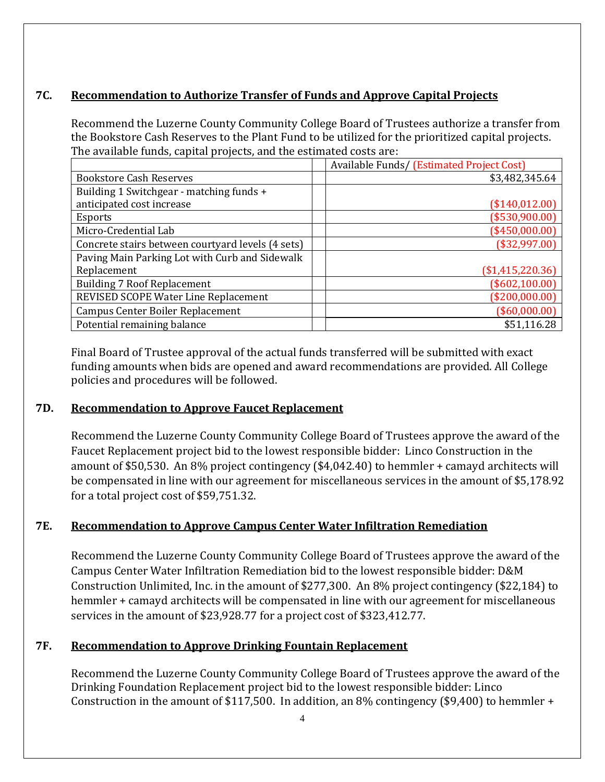## **7C. Recommendation to Authorize Transfer of Funds and Approve Capital Projects**

Recommend the Luzerne County Community College Board of Trustees authorize a transfer from the Bookstore Cash Reserves to the Plant Fund to be utilized for the prioritized capital projects. The available funds, capital projects, and the estimated costs are:

|                                                   | Available Funds/ (Estimated Project Cost) |
|---------------------------------------------------|-------------------------------------------|
| <b>Bookstore Cash Reserves</b>                    | \$3,482,345.64                            |
| Building 1 Switchgear - matching funds +          |                                           |
| anticipated cost increase                         | (\$140,012.00)                            |
| <b>Esports</b>                                    | (\$530,900.00)                            |
| Micro-Credential Lab                              | (\$450,000.00)                            |
| Concrete stairs between courtyard levels (4 sets) | (\$32,997.00)                             |
| Paving Main Parking Lot with Curb and Sidewalk    |                                           |
| Replacement                                       | (\$1,415,220.36)                          |
| <b>Building 7 Roof Replacement</b>                | (\$602,100.00)                            |
| REVISED SCOPE Water Line Replacement              | (\$200,000.00)                            |
| <b>Campus Center Boiler Replacement</b>           | (\$60,000.00)                             |
| Potential remaining balance                       | \$51,116.28                               |

Final Board of Trustee approval of the actual funds transferred will be submitted with exact funding amounts when bids are opened and award recommendations are provided. All College policies and procedures will be followed.

## **7D. Recommendation to Approve Faucet Replacement**

Recommend the Luzerne County Community College Board of Trustees approve the award of the Faucet Replacement project bid to the lowest responsible bidder: Linco Construction in the amount of \$50,530. An 8% project contingency (\$4,042.40) to hemmler + camayd architects will be compensated in line with our agreement for miscellaneous services in the amount of \$5,178.92 for a total project cost of \$59,751.32.

## **7E. Recommendation to Approve Campus Center Water Infiltration Remediation**

Recommend the Luzerne County Community College Board of Trustees approve the award of the Campus Center Water Infiltration Remediation bid to the lowest responsible bidder: D&M Construction Unlimited, Inc. in the amount of \$277,300. An 8% project contingency (\$22,184) to hemmler + camayd architects will be compensated in line with our agreement for miscellaneous services in the amount of \$23,928.77 for a project cost of \$323,412.77.

## **7F. Recommendation to Approve Drinking Fountain Replacement**

Recommend the Luzerne County Community College Board of Trustees approve the award of the Drinking Foundation Replacement project bid to the lowest responsible bidder: Linco Construction in the amount of \$117,500. In addition, an  $8\%$  contingency (\$9,400) to hemmler +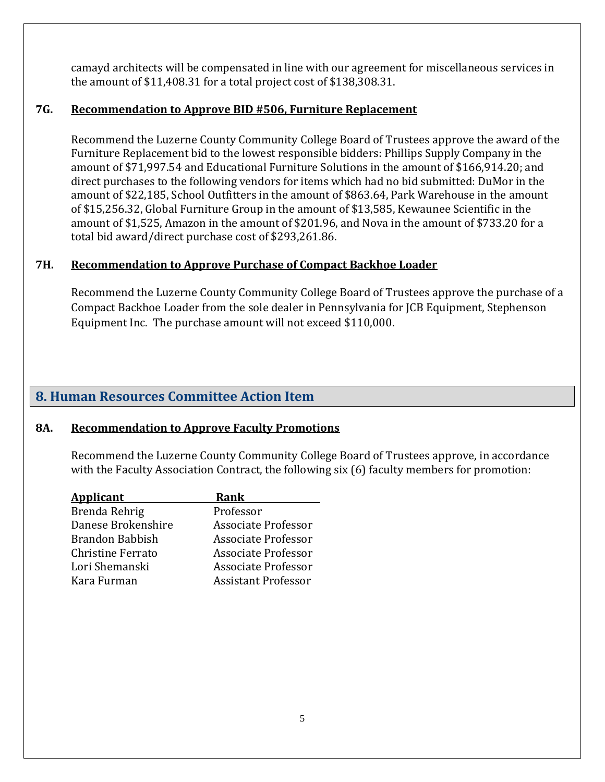camayd architects will be compensated in line with our agreement for miscellaneous services in the amount of \$11,408.31 for a total project cost of \$138,308.31.

## **7G. Recommendation to Approve BID #506, Furniture Replacement**

Recommend the Luzerne County Community College Board of Trustees approve the award of the Furniture Replacement bid to the lowest responsible bidders: Phillips Supply Company in the amount of \$71,997.54 and Educational Furniture Solutions in the amount of \$166,914.20; and direct purchases to the following vendors for items which had no bid submitted: DuMor in the amount of \$22,185, School Outfitters in the amount of \$863.64, Park Warehouse in the amount of \$15,256.32, Global Furniture Group in the amount of \$13,585, Kewaunee Scientific in the amount of \$1,525, Amazon in the amount of \$201.96, and Nova in the amount of \$733.20 for a total bid award/direct purchase cost of \$293,261.86.

## **7H. Recommendation to Approve Purchase of Compact Backhoe Loader**

Recommend the Luzerne County Community College Board of Trustees approve the purchase of a Compact Backhoe Loader from the sole dealer in Pennsylvania for JCB Equipment, Stephenson Equipment Inc. The purchase amount will not exceed \$110,000.

## **8. Human Resources Committee Action Item**

## **8A. Recommendation to Approve Faculty Promotions**

Recommend the Luzerne County Community College Board of Trustees approve, in accordance with the Faculty Association Contract, the following six (6) faculty members for promotion:

| Rank                       |
|----------------------------|
| Professor                  |
| <b>Associate Professor</b> |
| Associate Professor        |
| Associate Professor        |
| Associate Professor        |
| <b>Assistant Professor</b> |
|                            |